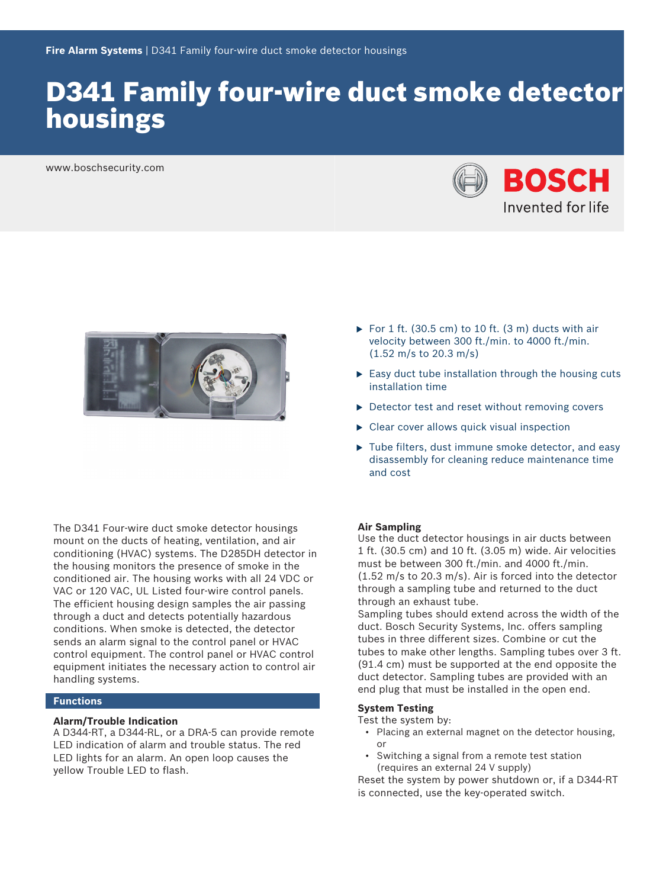# D341 Family four-wire duct smoke detector housings

www.boschsecurity.com





The D341 Four-wire duct smoke detector housings mount on the ducts of heating, ventilation, and air conditioning (HVAC) systems. The D285DH detector in the housing monitors the presence of smoke in the conditioned air. The housing works with all 24 VDC or VAC or 120 VAC, UL Listed four-wire control panels. The efficient housing design samples the air passing through a duct and detects potentially hazardous conditions. When smoke is detected, the detector sends an alarm signal to the control panel or HVAC control equipment. The control panel or HVAC control equipment initiates the necessary action to control air handling systems.

#### **Functions**

#### **Alarm/Trouble Indication**

A D344‑RT, a D344‑RL, or a DRA‑5 can provide remote LED indication of alarm and trouble status. The red LED lights for an alarm. An open loop causes the yellow Trouble LED to flash.

- For 1 ft. (30.5 cm) to 10 ft. (3 m) ducts with air velocity between 300 ft./min. to 4000 ft./min. (1.52 m/s to 20.3 m/s)
- $\triangleright$  Easy duct tube installation through the housing cuts installation time
- $\triangleright$  Detector test and reset without removing covers
- $\triangleright$  Clear cover allows quick visual inspection
- $\blacktriangleright$  Tube filters, dust immune smoke detector, and easy disassembly for cleaning reduce maintenance time and cost

#### **Air Sampling**

Use the duct detector housings in air ducts between 1 ft. (30.5 cm) and 10 ft. (3.05 m) wide. Air velocities must be between 300 ft./min. and 4000 ft./min. (1.52 m/s to 20.3 m/s). Air is forced into the detector through a sampling tube and returned to the duct through an exhaust tube.

Sampling tubes should extend across the width of the duct. Bosch Security Systems, Inc. offers sampling tubes in three different sizes. Combine or cut the tubes to make other lengths. Sampling tubes over 3 ft. (91.4 cm) must be supported at the end opposite the duct detector. Sampling tubes are provided with an end plug that must be installed in the open end.

#### **System Testing**

Test the system by:

- Placing an external magnet on the detector housing, or
- Switching a signal from a remote test station (requires an external 24 V supply)

Reset the system by power shutdown or, if a D344‑RT is connected, use the key-operated switch.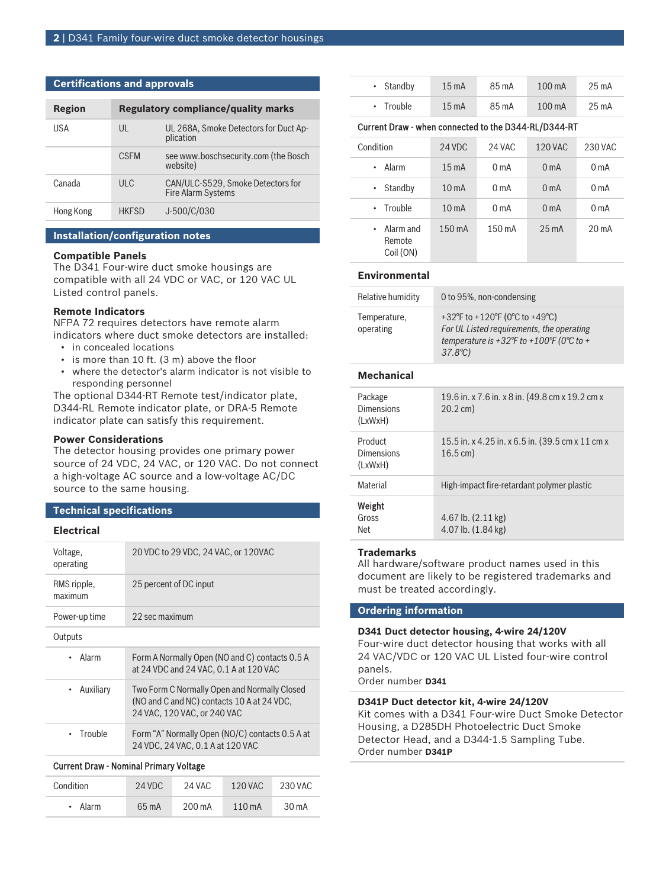# **Certifications and approvals**

| Region    |              | <b>Regulatory compliance/quality marks</b>              |
|-----------|--------------|---------------------------------------------------------|
| USA       | UL           | UL 268A, Smoke Detectors for Duct Ap-<br>plication      |
|           | <b>CSFM</b>  | see www.boschsecurity.com (the Bosch<br>website)        |
| Canada    | ULC.         | CAN/ULC-S529, Smoke Detectors for<br>Fire Alarm Systems |
| Hong Kong | <b>HKFSD</b> | J-500/C/030                                             |

# **Installation/configuration notes**

#### **Compatible Panels**

The D341 Four-wire duct smoke housings are compatible with all 24 VDC or VAC, or 120 VAC UL Listed control panels.

# **Remote Indicators**

NFPA 72 requires detectors have remote alarm indicators where duct smoke detectors are installed:

- in concealed locations
- is more than 10 ft. (3 m) above the floor
- where the detector's alarm indicator is not visible to responding personnel

The optional D344‑RT Remote test/indicator plate, D344‑RL Remote indicator plate, or DRA‑5 Remote indicator plate can satisfy this requirement.

#### **Power Considerations**

The detector housing provides one primary power source of 24 VDC, 24 VAC, or 120 VAC. Do not connect a high-voltage AC source and a low‑voltage AC/DC source to the same housing.

# **Technical specifications**

# **Electrical**

| Voltage,<br>operating                  | 20 VDC to 29 VDC, 24 VAC, or 120VAC                                                                                       |  |
|----------------------------------------|---------------------------------------------------------------------------------------------------------------------------|--|
| RMS ripple,<br>maximum                 | 25 percent of DC input                                                                                                    |  |
| Power-up time                          | 22 sec maximum                                                                                                            |  |
| Outputs                                |                                                                                                                           |  |
| Alarm                                  | Form A Normally Open (NO and C) contacts 0.5 A<br>at 24 VDC and 24 VAC, 0.1 A at 120 VAC                                  |  |
| Auxiliary                              | Two Form C Normally Open and Normally Closed<br>(NO and C and NC) contacts 10 A at 24 VDC,<br>24 VAC, 120 VAC, or 240 VAC |  |
| Trouble<br>٠                           | Form "A" Normally Open (NO/C) contacts 0.5 A at<br>24 VDC, 24 VAC, 0.1 A at 120 VAC                                       |  |
| Current Draw - Nominal Primary Voltage |                                                                                                                           |  |

| Condition | 24 VDC | 24 VAC | 120 VAC          | 230 VAC |
|-----------|--------|--------|------------------|---------|
| • Alarm   | 65 mA  | 200 mA | $110 \text{ mA}$ | $30m$ A |

| Current Draw - when connected to the D344-RL/D344-RT |                 |       |                  |                 |
|------------------------------------------------------|-----------------|-------|------------------|-----------------|
| $\cdot$ Trouble                                      | $15 \text{ mA}$ | 85 mA | $100 \text{ mA}$ | 25 mA           |
| $\cdot$ Standby                                      | $15 \text{ mA}$ | 85 mA | $100 \text{ mA}$ | $25 \text{ mA}$ |

| Condition                                | 24 VDC            | 24 VAC           | <b>120 VAC</b>   | 230 VAC          |
|------------------------------------------|-------------------|------------------|------------------|------------------|
| Alarm                                    | $15 \text{ mA}$   | 0 <sub>m</sub>   | 0 <sub>m</sub> A | 0 <sub>m</sub> A |
| Standby                                  | 10 <sub>m</sub> A | 0 <sub>m</sub> A | 0 <sub>m</sub> A | 0 <sub>m</sub> A |
| • Trouble                                | 10 <sub>m</sub> A | 0 <sub>m</sub> A | 0 <sub>m</sub> A | 0 <sub>m</sub> A |
| $\cdot$ Alarm and<br>Remote<br>Coil (ON) | 150 mA            | 150 mA           | $25 \text{ mA}$  | $20 \text{ mA}$  |

# **Environmental**

| Relative humidity         | 0 to 95%, non-condensing                                                                                                                   |
|---------------------------|--------------------------------------------------------------------------------------------------------------------------------------------|
| Temperature,<br>operating | +32°F to +120°F (0°C to +49°C)<br>For UL Listed requirements, the operating<br>temperature is +32°F to +100°F (0°C to +<br>$37.8^{\circ}C$ |

#### **Mechanical**

| Package<br>Dimensions<br>(LxWxH) | 19.6 in. x 7.6 in. x 8 in. (49.8 cm x 19.2 cm x<br>$20.2 \text{ cm}$ )     |
|----------------------------------|----------------------------------------------------------------------------|
| Product<br>Dimensions<br>(LxWxH) | 15.5 in. x 4.25 in. x 6.5 in. (39.5 cm x 11 cm x<br>$16.5 \,\mathrm{cm}$ ) |
| Material                         | High-impact fire-retardant polymer plastic                                 |
| Weight<br>Gross<br>Net           | 4.67 lb. $(2.11 \text{ kg})$<br>4.07 lb. $(1.84 \text{ kg})$               |

# **Trademarks**

All hardware/software product names used in this document are likely to be registered trademarks and must be treated accordingly.

#### **Ordering information**

# **D341 Duct detector housing, 4-wire 24/120V**

Four-wire duct detector housing that works with all 24 VAC/VDC or 120 VAC UL Listed four-wire control panels.

Order number **D341**

# **D341P Duct detector kit, 4-wire 24/120V**

Kit comes with a D341 Four‑wire Duct Smoke Detector Housing, a D285DH Photoelectric Duct Smoke Detector Head, and a D344-1.5 Sampling Tube. Order number **D341P**